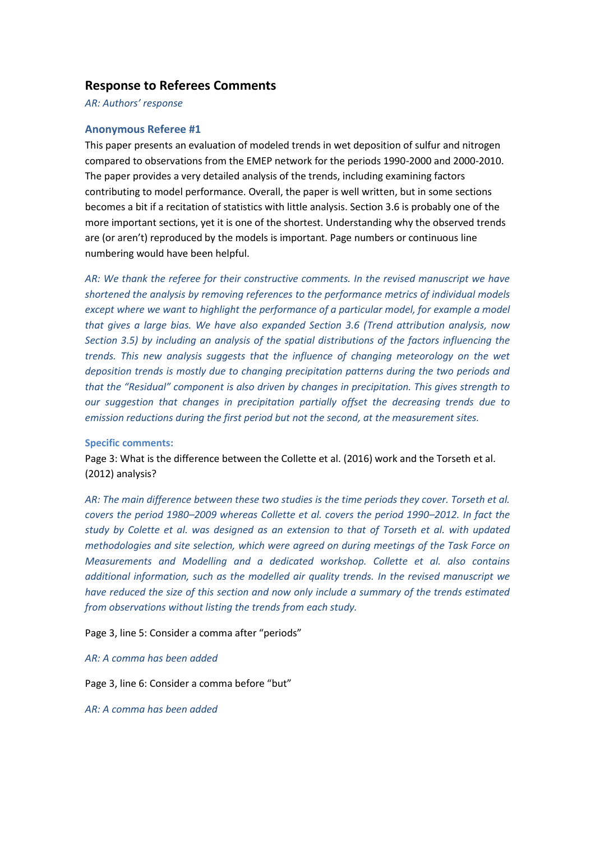# **Response to Referees Comments**

*AR: Authors' response*

# **Anonymous Referee #1**

This paper presents an evaluation of modeled trends in wet deposition of sulfur and nitrogen compared to observations from the EMEP network for the periods 1990-2000 and 2000-2010. The paper provides a very detailed analysis of the trends, including examining factors contributing to model performance. Overall, the paper is well written, but in some sections becomes a bit if a recitation of statistics with little analysis. Section 3.6 is probably one of the more important sections, yet it is one of the shortest. Understanding why the observed trends are (or aren't) reproduced by the models is important. Page numbers or continuous line numbering would have been helpful.

*AR: We thank the referee for their constructive comments. In the revised manuscript we have shortened the analysis by removing references to the performance metrics of individual models except where we want to highlight the performance of a particular model, for example a model that gives a large bias. We have also expanded Section 3.6 (Trend attribution analysis, now Section 3.5) by including an analysis of the spatial distributions of the factors influencing the trends. This new analysis suggests that the influence of changing meteorology on the wet deposition trends is mostly due to changing precipitation patterns during the two periods and that the "Residual" component is also driven by changes in precipitation. This gives strength to our suggestion that changes in precipitation partially offset the decreasing trends due to emission reductions during the first period but not the second, at the measurement sites.*

#### **Specific comments:**

Page 3: What is the difference between the Collette et al. (2016) work and the Torseth et al. (2012) analysis?

*AR: The main difference between these two studies is the time periods they cover. Torseth et al. covers the period 1980–2009 whereas Collette et al. covers the period 1990–2012. In fact the study by Colette et al. was designed as an extension to that of Torseth et al. with updated methodologies and site selection, which were agreed on during meetings of the Task Force on Measurements and Modelling and a dedicated workshop. Collette et al. also contains additional information, such as the modelled air quality trends. In the revised manuscript we have reduced the size of this section and now only include a summary of the trends estimated from observations without listing the trends from each study.*

Page 3, line 5: Consider a comma after "periods"

#### *AR: A comma has been added*

Page 3, line 6: Consider a comma before "but"

*AR: A comma has been added*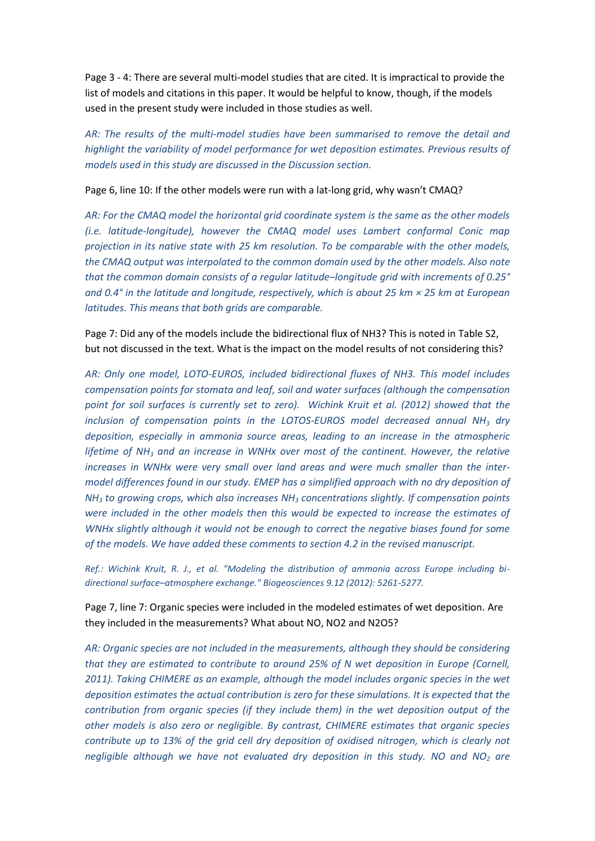Page 3 - 4: There are several multi-model studies that are cited. It is impractical to provide the list of models and citations in this paper. It would be helpful to know, though, if the models used in the present study were included in those studies as well.

*AR: The results of the multi-model studies have been summarised to remove the detail and highlight the variability of model performance for wet deposition estimates. Previous results of models used in this study are discussed in the Discussion section.*

Page 6, line 10: If the other models were run with a lat-long grid, why wasn't CMAQ?

*AR: For the CMAQ model the horizontal grid coordinate system is the same as the other models (i.e. latitude-longitude), however the CMAQ model uses Lambert conformal Conic map projection in its native state with 25 km resolution. To be comparable with the other models, the CMAQ output was interpolated to the common domain used by the other models. Also note that the common domain consists of a regular latitude–longitude grid with increments of 0.25° and 0.4° in the latitude and longitude, respectively, which is about 25 km × 25 km at European latitudes. This means that both grids are comparable.* 

Page 7: Did any of the models include the bidirectional flux of NH3? This is noted in Table S2, but not discussed in the text. What is the impact on the model results of not considering this?

*AR: Only one model, LOTO-EUROS, included bidirectional fluxes of NH3. This model includes compensation points for stomata and leaf, soil and water surfaces (although the compensation point for soil surfaces is currently set to zero). Wichink Kruit et al. (2012) showed that the inclusion of compensation points in the LOTOS-EUROS model decreased annual NH<sup>3</sup> dry deposition, especially in ammonia source areas, leading to an increase in the atmospheric lifetime of NH<sup>3</sup> and an increase in WNHx over most of the continent. However, the relative increases in WNHx were very small over land areas and were much smaller than the intermodel differences found in our study. EMEP has a simplified approach with no dry deposition of NH<sup>3</sup> to growing crops, which also increases NH<sup>3</sup> concentrations slightly. If compensation points were included in the other models then this would be expected to increase the estimates of WNHx slightly although it would not be enough to correct the negative biases found for some of the models. We have added these comments to section 4.2 in the revised manuscript.*

*Ref.: Wichink Kruit, R. J., et al. "Modeling the distribution of ammonia across Europe including bidirectional surface–atmosphere exchange." Biogeosciences 9.12 (2012): 5261-5277.*

Page 7, line 7: Organic species were included in the modeled estimates of wet deposition. Are they included in the measurements? What about NO, NO2 and N2O5?

*AR: Organic species are not included in the measurements, although they should be considering that they are estimated to contribute to around 25% of N wet deposition in Europe (Cornell, 2011). Taking CHIMERE as an example, although the model includes organic species in the wet deposition estimates the actual contribution is zero for these simulations. It is expected that the contribution from organic species (if they include them) in the wet deposition output of the other models is also zero or negligible. By contrast, CHIMERE estimates that organic species contribute up to 13% of the grid cell dry deposition of oxidised nitrogen, which is clearly not negligible although we have not evaluated dry deposition in this study. NO and NO<sup>2</sup> are*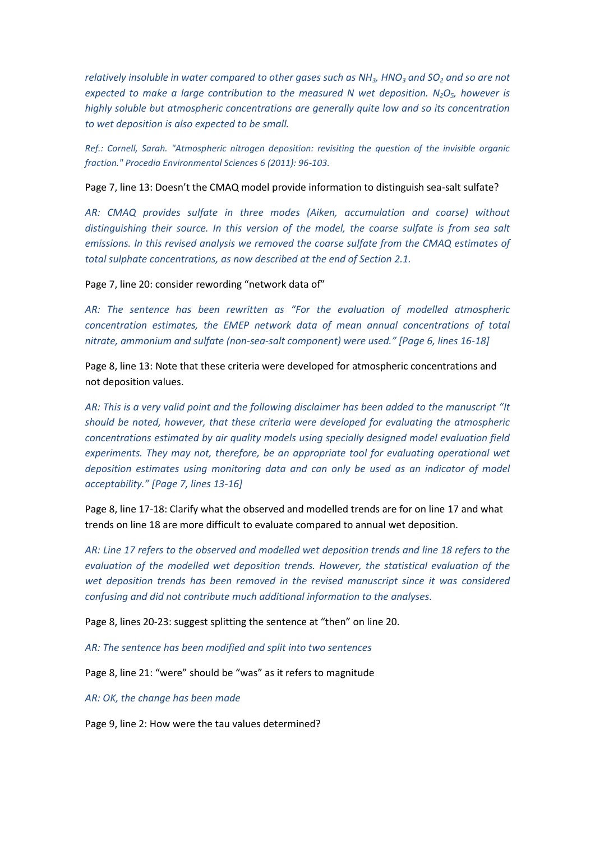*relatively insoluble in water compared to other gases such as NH3, HNO<sup>3</sup> and SO<sup>2</sup> and so are not expected to make a large contribution to the measured N wet deposition. N2O5, however is highly soluble but atmospheric concentrations are generally quite low and so its concentration to wet deposition is also expected to be small.*

*Ref.: Cornell, Sarah. "Atmospheric nitrogen deposition: revisiting the question of the invisible organic fraction." Procedia Environmental Sciences 6 (2011): 96-103.*

Page 7, line 13: Doesn't the CMAQ model provide information to distinguish sea-salt sulfate?

*AR: CMAQ provides sulfate in three modes (Aiken, accumulation and coarse) without distinguishing their source. In this version of the model, the coarse sulfate is from sea salt emissions. In this revised analysis we removed the coarse sulfate from the CMAQ estimates of total sulphate concentrations, as now described at the end of Section 2.1.*

Page 7, line 20: consider rewording "network data of"

*AR: The sentence has been rewritten as "For the evaluation of modelled atmospheric concentration estimates, the EMEP network data of mean annual concentrations of total nitrate, ammonium and sulfate (non-sea-salt component) were used." [Page 6, lines 16-18]*

Page 8, line 13: Note that these criteria were developed for atmospheric concentrations and not deposition values.

*AR: This is a very valid point and the following disclaimer has been added to the manuscript "It should be noted, however, that these criteria were developed for evaluating the atmospheric concentrations estimated by air quality models using specially designed model evaluation field*  experiments. They may not, therefore, be an appropriate tool for evaluating operational wet *deposition estimates using monitoring data and can only be used as an indicator of model acceptability." [Page 7, lines 13-16]*

Page 8, line 17-18: Clarify what the observed and modelled trends are for on line 17 and what trends on line 18 are more difficult to evaluate compared to annual wet deposition.

*AR: Line 17 refers to the observed and modelled wet deposition trends and line 18 refers to the evaluation of the modelled wet deposition trends. However, the statistical evaluation of the wet deposition trends has been removed in the revised manuscript since it was considered confusing and did not contribute much additional information to the analyses.*

Page 8, lines 20-23: suggest splitting the sentence at "then" on line 20.

*AR: The sentence has been modified and split into two sentences*

Page 8, line 21: "were" should be "was" as it refers to magnitude

*AR: OK, the change has been made*

Page 9, line 2: How were the tau values determined?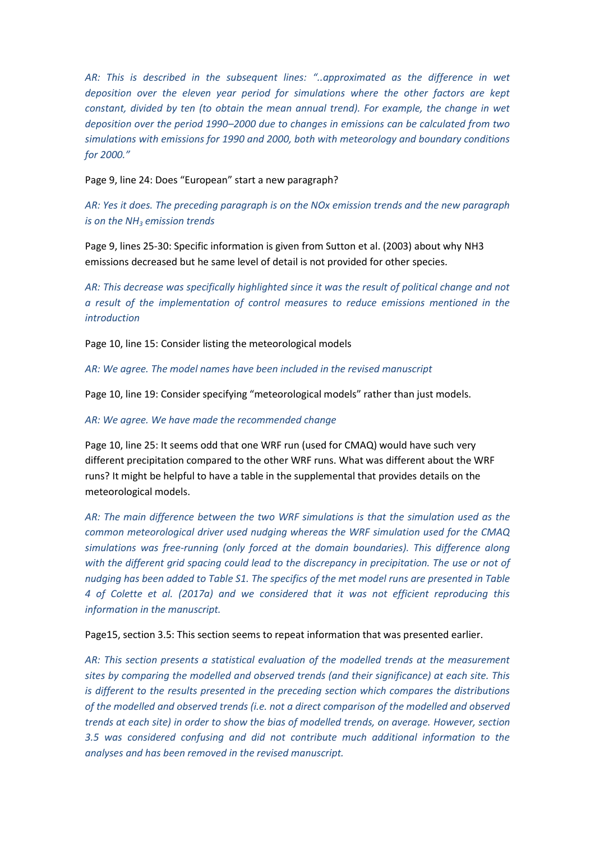*AR: This is described in the subsequent lines: "..approximated as the difference in wet deposition over the eleven year period for simulations where the other factors are kept constant, divided by ten (to obtain the mean annual trend). For example, the change in wet deposition over the period 1990–2000 due to changes in emissions can be calculated from two simulations with emissions for 1990 and 2000, both with meteorology and boundary conditions for 2000."*

Page 9, line 24: Does "European" start a new paragraph?

*AR: Yes it does. The preceding paragraph is on the NOx emission trends and the new paragraph is on the NH<sup>3</sup> emission trends*

Page 9, lines 25-30: Specific information is given from Sutton et al. (2003) about why NH3 emissions decreased but he same level of detail is not provided for other species.

*AR: This decrease was specifically highlighted since it was the result of political change and not a result of the implementation of control measures to reduce emissions mentioned in the introduction* 

Page 10, line 15: Consider listing the meteorological models

*AR: We agree. The model names have been included in the revised manuscript*

Page 10, line 19: Consider specifying "meteorological models" rather than just models.

*AR: We agree. We have made the recommended change*

Page 10, line 25: It seems odd that one WRF run (used for CMAQ) would have such very different precipitation compared to the other WRF runs. What was different about the WRF runs? It might be helpful to have a table in the supplemental that provides details on the meteorological models.

*AR: The main difference between the two WRF simulations is that the simulation used as the common meteorological driver used nudging whereas the WRF simulation used for the CMAQ simulations was free-running (only forced at the domain boundaries). This difference along with the different grid spacing could lead to the discrepancy in precipitation. The use or not of nudging has been added to Table S1. The specifics of the met model runs are presented in Table 4 of Colette et al. (2017a) and we considered that it was not efficient reproducing this information in the manuscript.*

Page15, section 3.5: This section seems to repeat information that was presented earlier.

*AR: This section presents a statistical evaluation of the modelled trends at the measurement sites by comparing the modelled and observed trends (and their significance) at each site. This is different to the results presented in the preceding section which compares the distributions of the modelled and observed trends (i.e. not a direct comparison of the modelled and observed trends at each site) in order to show the bias of modelled trends, on average. However, section 3.5 was considered confusing and did not contribute much additional information to the analyses and has been removed in the revised manuscript.*